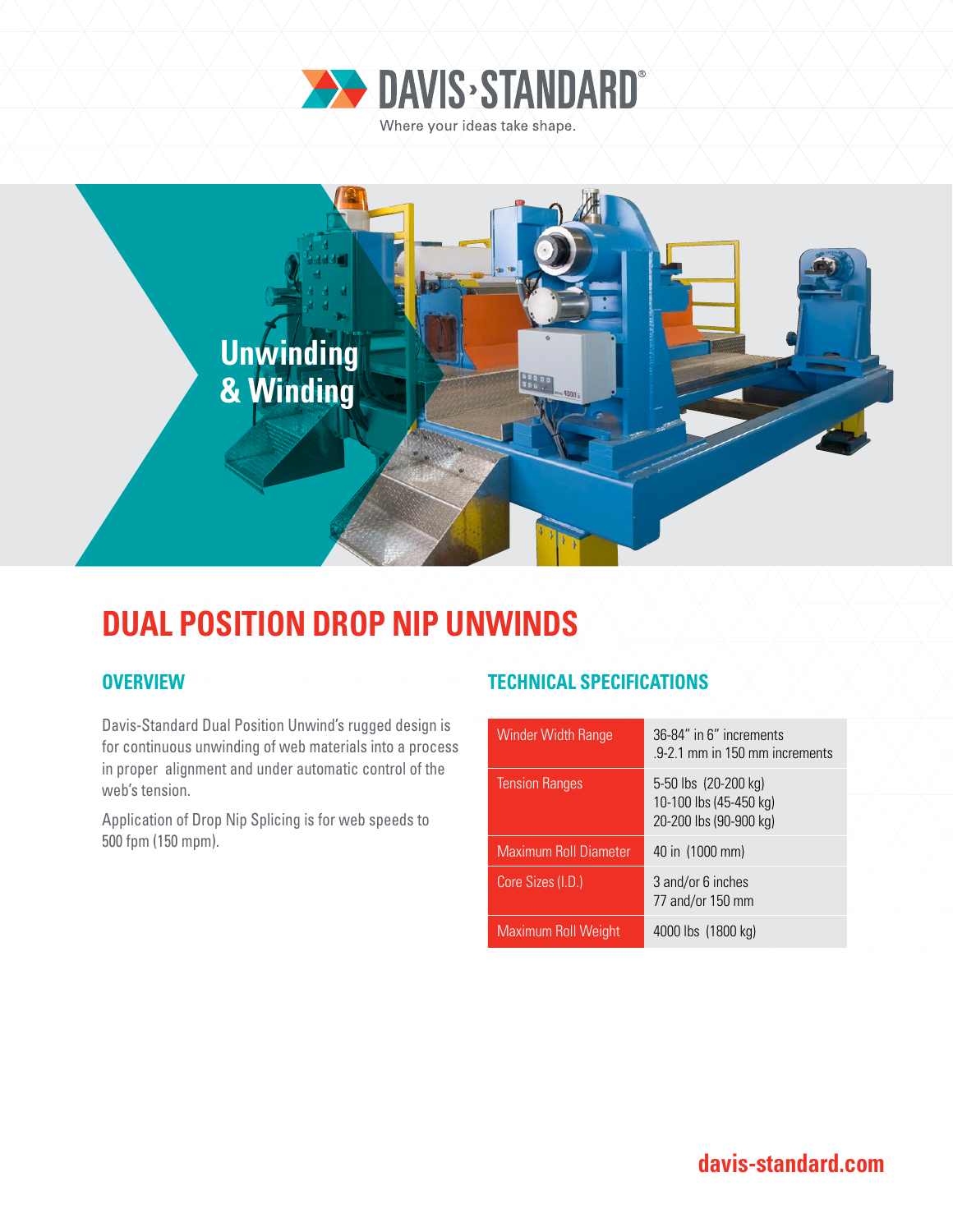



## **DUAL POSITION DROP NIP UNWINDS**

Davis-Standard Dual Position Unwind's rugged design is for continuous unwinding of web materials into a process in proper alignment and under automatic control of the web's tension.

Application of Drop Nip Splicing is for web speeds to 500 fpm (150 mpm).

## **OVERVIEW TECHNICAL SPECIFICATIONS**

| 36-84" in 6" increments<br>.9-2.1 mm in 150 mm increments                |
|--------------------------------------------------------------------------|
| 5-50 lbs (20-200 kg)<br>10-100 lbs (45-450 kg)<br>20-200 lbs (90-900 kg) |
| 40 in (1000 mm)                                                          |
| 3 and/or 6 inches<br>77 and/or 150 mm                                    |
| 4000 lbs (1800 kg)                                                       |
|                                                                          |